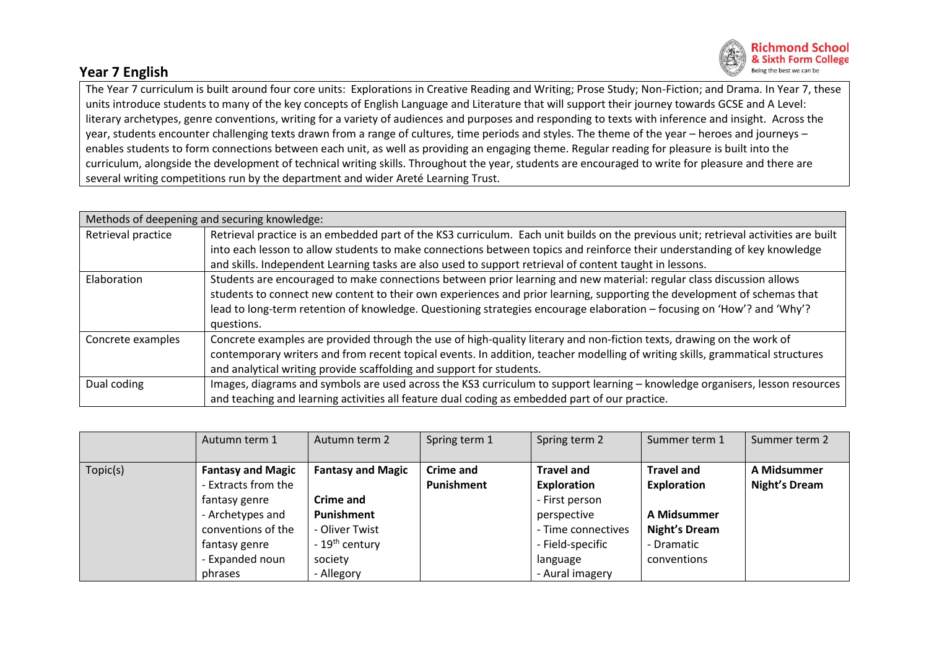## **Year 7 English**



The Year 7 curriculum is built around four core units: Explorations in Creative Reading and Writing; Prose Study; Non-Fiction; and Drama. In Year 7, these units introduce students to many of the key concepts of English Language and Literature that will support their journey towards GCSE and A Level: literary archetypes, genre conventions, writing for a variety of audiences and purposes and responding to texts with inference and insight. Across the year, students encounter challenging texts drawn from a range of cultures, time periods and styles. The theme of the year – heroes and journeys – enables students to form connections between each unit, as well as providing an engaging theme. Regular reading for pleasure is built into the curriculum, alongside the development of technical writing skills. Throughout the year, students are encouraged to write for pleasure and there are several writing competitions run by the department and wider Areté Learning Trust.

| Methods of deepening and securing knowledge: |                                                                                                                                     |  |  |  |  |  |
|----------------------------------------------|-------------------------------------------------------------------------------------------------------------------------------------|--|--|--|--|--|
| Retrieval practice                           | Retrieval practice is an embedded part of the KS3 curriculum. Each unit builds on the previous unit; retrieval activities are built |  |  |  |  |  |
|                                              | into each lesson to allow students to make connections between topics and reinforce their understanding of key knowledge            |  |  |  |  |  |
|                                              | and skills. Independent Learning tasks are also used to support retrieval of content taught in lessons.                             |  |  |  |  |  |
| Elaboration                                  | Students are encouraged to make connections between prior learning and new material: regular class discussion allows                |  |  |  |  |  |
|                                              | students to connect new content to their own experiences and prior learning, supporting the development of schemas that             |  |  |  |  |  |
|                                              | lead to long-term retention of knowledge. Questioning strategies encourage elaboration – focusing on 'How'? and 'Why'?              |  |  |  |  |  |
|                                              | questions.                                                                                                                          |  |  |  |  |  |
| Concrete examples                            | Concrete examples are provided through the use of high-quality literary and non-fiction texts, drawing on the work of               |  |  |  |  |  |
|                                              | contemporary writers and from recent topical events. In addition, teacher modelling of writing skills, grammatical structures       |  |  |  |  |  |
|                                              | and analytical writing provide scaffolding and support for students.                                                                |  |  |  |  |  |
| Dual coding                                  | Images, diagrams and symbols are used across the KS3 curriculum to support learning - knowledge organisers, lesson resources        |  |  |  |  |  |
|                                              | and teaching and learning activities all feature dual coding as embedded part of our practice.                                      |  |  |  |  |  |

|          | Autumn term 1            | Autumn term 2              | Spring term 1    | Spring term 2      | Summer term 1        | Summer term 2        |
|----------|--------------------------|----------------------------|------------------|--------------------|----------------------|----------------------|
|          |                          |                            |                  |                    |                      |                      |
| Topic(s) | <b>Fantasy and Magic</b> | <b>Fantasy and Magic</b>   | <b>Crime and</b> | <b>Travel and</b>  | <b>Travel and</b>    | A Midsummer          |
|          | - Extracts from the      |                            | Punishment       | Exploration        | Exploration          | <b>Night's Dream</b> |
|          | fantasy genre            | Crime and                  |                  | - First person     |                      |                      |
|          | - Archetypes and         | Punishment                 |                  | perspective        | A Midsummer          |                      |
|          | conventions of the       | - Oliver Twist             |                  | - Time connectives | <b>Night's Dream</b> |                      |
|          | fantasy genre            | - 19 <sup>th</sup> century |                  | - Field-specific   | - Dramatic           |                      |
|          | - Expanded noun          | society                    |                  | language           | conventions          |                      |
|          | phrases                  | - Allegory                 |                  | - Aural imagery    |                      |                      |